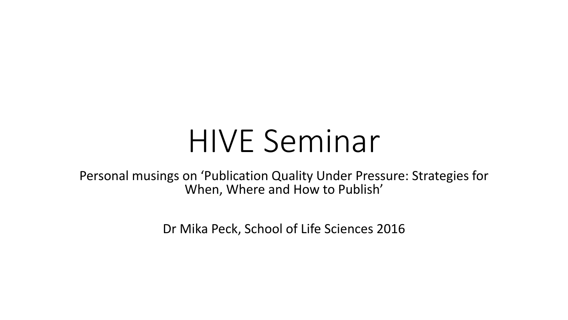# HIVE Seminar

Personal musings on 'Publication Quality Under Pressure: Strategies for When, Where and How to Publish'

Dr Mika Peck, School of Life Sciences 2016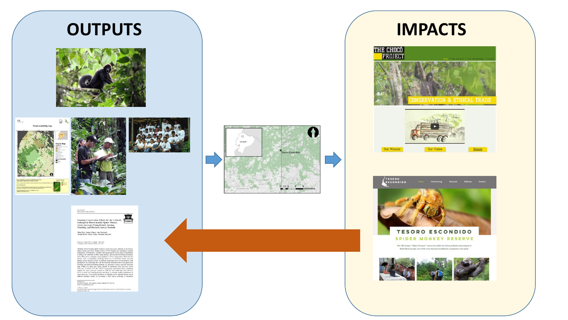### **OUTPUTS IMPACTS**











-<br>Mika Peck - James Thorn - Ana Mariscal -<br>- Abigail Baird - Diego Tirira - Dominic Kniveton

#### Received: 5 January 2010 / Accepted: 1 May 2010<br>
C Springer Science / Brasiness Media, LLC 2010

Abstrat Bures localid pilde modery (føder Josevega, omkrets in til Choco December 1991 (føder 1992) (føder 1992) (føder 1992) (føder 1992) (føder 1992) (føder 1992) (føder 1992) (føder 1992) (føder 1992) (føder 1992) (fød

M. Pask (5:3)<br>University of Sames, AMS Building, Falmer, Brighton BN1 9Q1, UK.<br>cottail: m.tpsck@tatsert.ac.uk  $L$  Them - A. Bain!<br> $\label{eq:1}$  Natural Penna is Research Group, School of Social Sciences and Law, Order<br>I Breston University. Online OX1 082: UK









**TESORO ESCONDIDO SPIDER MONKEY RESERVE** 

This 700 hectare "Hidden Treasure" reserve lies within the Chocoan Biodiversity hotspot of North West Ecuador, one of the most threatened rainforest ecosystems in the world.

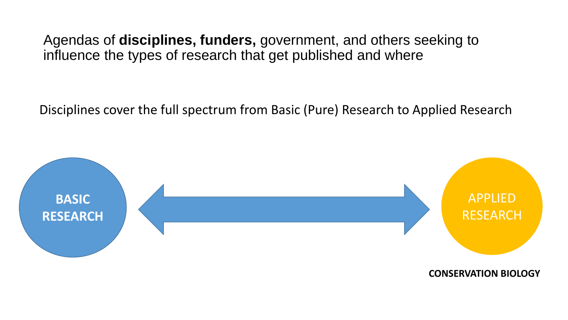Agendas of **disciplines, funders,** government, and others seeking to influence the types of research that get published and where

Disciplines cover the full spectrum from Basic (Pure) Research to Applied Research



**CONSERVATION BIOLOGY**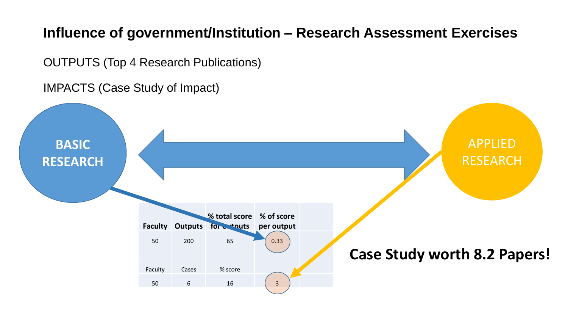#### **Influence of government/Institution – Research Assessment Exercises**

OUTPUTS (Top 4 Research Publications)

IMPACTS (Case Study of Impact)

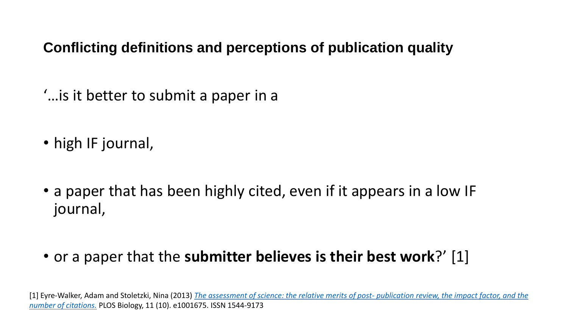#### **Conflicting definitions and perceptions of publication quality**

'…is it better to submit a paper in a

- high IF journal,
- a paper that has been highly cited, even if it appears in a low IF journal,
- or a paper that the **submitter believes is their best work**?' [1]

[1] Eyre-Walker, Adam and Stoletzki, Nina (2013) *[The assessment of science: the relative merits of post-](http://sro.sussex.ac.uk/46626/) publication review, the impact factor, and the number of citations.* PLOS Biology, 11 (10). e1001675. ISSN 1544-9173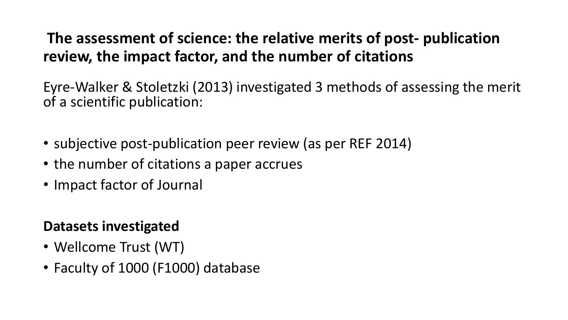#### **The assessment of science: the relative merits of post- publication review, the impact factor, and the number of citations**

Eyre-Walker & Stoletzki (2013) investigated 3 methods of assessing the merit of a scientific publication:

- subjective post-publication peer review (as per REF 2014)
- the number of citations a paper accrues
- Impact factor of Journal

#### **Datasets investigated**

- Wellcome Trust (WT)
- Faculty of 1000 (F1000) database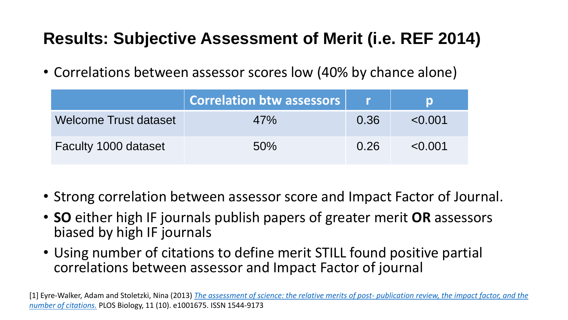### **Results: Subjective Assessment of Merit (i.e. REF 2014)**

• Correlations between assessor scores low (40% by chance alone)

|                       | <b>Correlation btw assessors</b> |      |             |
|-----------------------|----------------------------------|------|-------------|
| Welcome Trust dataset | 47%                              | 0.36 | $\le 0.001$ |
| Faculty 1000 dataset  | 50%                              | 0.26 | $\le 0.001$ |

- Strong correlation between assessor score and Impact Factor of Journal.
- **SO** either high IF journals publish papers of greater merit **OR** assessors biased by high IF journals
- Using number of citations to define merit STILL found positive partial correlations between assessor and Impact Factor of journal

[1] Eyre-Walker, Adam and Stoletzki, Nina (2013) *[The assessment of science: the relative merits of post-](http://sro.sussex.ac.uk/46626/) publication review, the impact factor, and the number of citations.* PLOS Biology, 11 (10). e1001675. ISSN 1544-9173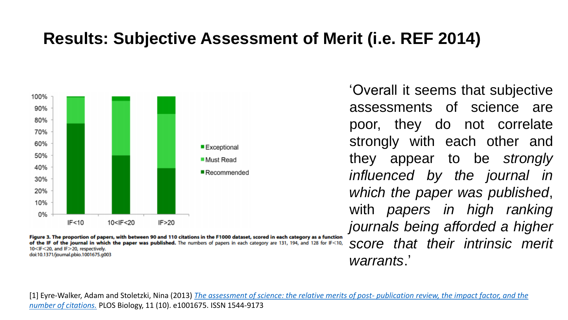#### **Results: Subjective Assessment of Merit (i.e. REF 2014)**



Figure 3. The proportion of papers, with between 90 and 110 citations in the F1000 dataset, scored in each category as a function of the IF of the journal in which the paper was published. The numbers of papers in each category are 131, 194, and 128 for IF<10, 10<IF<20, and IF>20, respectively. doi:10.1371/journal.pbio.1001675.g003

'Overall it seems that subjective assessments of science are poor, they do not correlate strongly with each other and they appear to be *strongly influenced by the journal in which the paper was published*, with *papers in high ranking journals being afforded a higher score that their intrinsic merit warrants*.'

[1] Eyre-Walker, Adam and Stoletzki, Nina (2013) *[The assessment of science: the relative merits of post-](http://sro.sussex.ac.uk/46626/) publication review, the impact factor, and the number of citations.* PLOS Biology, 11 (10). e1001675. ISSN 1544-9173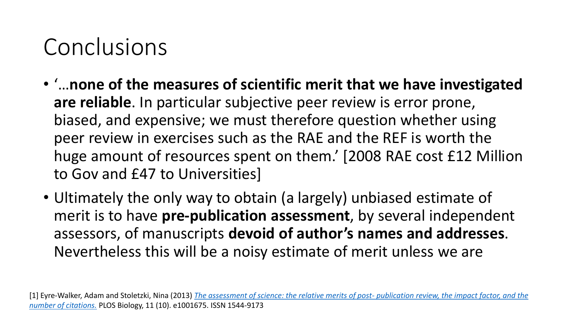## Conclusions

- '…**none of the measures of scientific merit that we have investigated are reliable**. In particular subjective peer review is error prone, biased, and expensive; we must therefore question whether using peer review in exercises such as the RAE and the REF is worth the huge amount of resources spent on them.' [2008 RAE cost £12 Million to Gov and £47 to Universities]
- Ultimately the only way to obtain (a largely) unbiased estimate of merit is to have **pre-publication assessment**, by several independent assessors, of manuscripts **devoid of author's names and addresses**. Nevertheless this will be a noisy estimate of merit unless we are